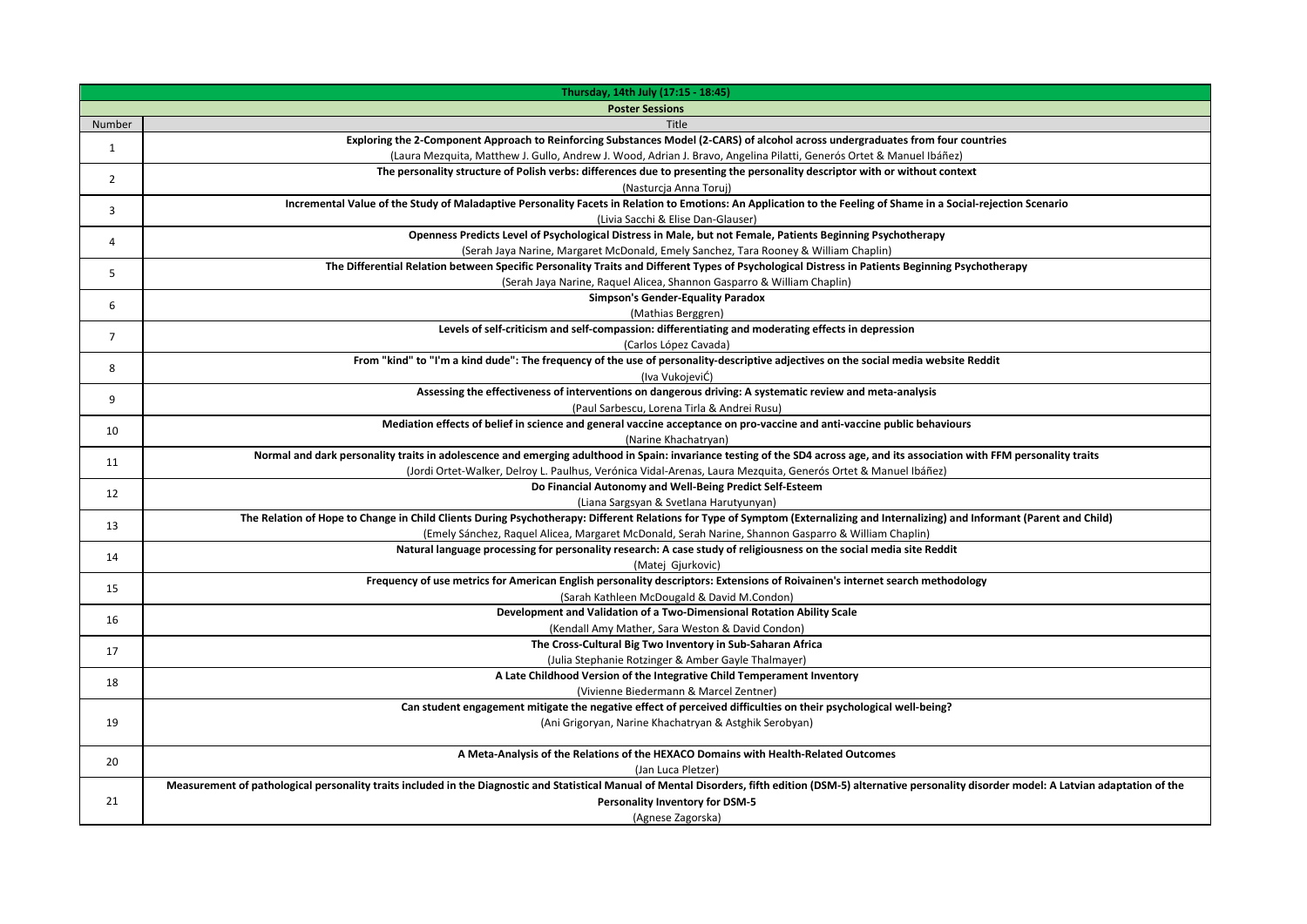|                | Thursday, 14th July (17:15 - 18:45)                                                                                                                                                                                                                 |
|----------------|-----------------------------------------------------------------------------------------------------------------------------------------------------------------------------------------------------------------------------------------------------|
|                | <b>Poster Sessions</b>                                                                                                                                                                                                                              |
| Number         | Title                                                                                                                                                                                                                                               |
| $\mathbf{1}$   | Exploring the 2-Component Approach to Reinforcing Substances Model (2-CARS) of alcohol across undergraduates from four countries                                                                                                                    |
|                | (Laura Mezquita, Matthew J. Gullo, Andrew J. Wood, Adrian J. Bravo, Angelina Pilatti, Generós Ortet & Manuel Ibáñez)<br>The personality structure of Polish verbs: differences due to presenting the personality descriptor with or without context |
| $\overline{2}$ | (Nasturcja Anna Toruj)                                                                                                                                                                                                                              |
|                | Incremental Value of the Study of Maladaptive Personality Facets in Relation to Emotions: An Application to the Feeling of Shame in a Social-rejection Scenario                                                                                     |
| 3              | (Livia Sacchi & Elise Dan-Glauser)                                                                                                                                                                                                                  |
|                | Openness Predicts Level of Psychological Distress in Male, but not Female, Patients Beginning Psychotherapy                                                                                                                                         |
| 4              | (Serah Jaya Narine, Margaret McDonald, Emely Sanchez, Tara Rooney & William Chaplin)                                                                                                                                                                |
|                | The Differential Relation between Specific Personality Traits and Different Types of Psychological Distress in Patients Beginning Psychotherapy                                                                                                     |
| 5              | (Serah Jaya Narine, Raquel Alicea, Shannon Gasparro & William Chaplin)                                                                                                                                                                              |
| 6              | <b>Simpson's Gender-Equality Paradox</b>                                                                                                                                                                                                            |
|                | (Mathias Berggren)                                                                                                                                                                                                                                  |
| $\overline{7}$ | Levels of self-criticism and self-compassion: differentiating and moderating effects in depression                                                                                                                                                  |
|                | (Carlos López Cavada)                                                                                                                                                                                                                               |
| 8              | From "kind" to "I'm a kind dude": The frequency of the use of personality-descriptive adjectives on the social media website Reddit                                                                                                                 |
|                | (Iva VukojeviĆ)                                                                                                                                                                                                                                     |
| 9              | Assessing the effectiveness of interventions on dangerous driving: A systematic review and meta-analysis                                                                                                                                            |
|                | (Paul Sarbescu, Lorena Tirla & Andrei Rusu)                                                                                                                                                                                                         |
| 10             | Mediation effects of belief in science and general vaccine acceptance on pro-vaccine and anti-vaccine public behaviours                                                                                                                             |
|                | (Narine Khachatryan)<br>Normal and dark personality traits in adolescence and emerging adulthood in Spain: invariance testing of the SD4 across age, and its association with FFM personality traits                                                |
| 11             | (Jordi Ortet-Walker, Delroy L. Paulhus, Verónica Vidal-Arenas, Laura Mezquita, Generós Ortet & Manuel Ibáñez)                                                                                                                                       |
|                | Do Financial Autonomy and Well-Being Predict Self-Esteem                                                                                                                                                                                            |
| 12             | (Liana Sargsyan & Svetlana Harutyunyan)                                                                                                                                                                                                             |
|                | The Relation of Hope to Change in Child Clients During Psychotherapy: Different Relations for Type of Symptom (Externalizing and Internalizing) and Informant (Parent and Child)                                                                    |
| 13             | (Emely Sánchez, Raquel Alicea, Margaret McDonald, Serah Narine, Shannon Gasparro & William Chaplin)                                                                                                                                                 |
|                | Natural language processing for personality research: A case study of religiousness on the social media site Reddit                                                                                                                                 |
| 14             | (Matej Gjurkovic)                                                                                                                                                                                                                                   |
| 15             | Frequency of use metrics for American English personality descriptors: Extensions of Roivainen's internet search methodology                                                                                                                        |
|                | (Sarah Kathleen McDougald & David M.Condon)                                                                                                                                                                                                         |
| 16             | Development and Validation of a Two-Dimensional Rotation Ability Scale                                                                                                                                                                              |
|                | (Kendall Amy Mather, Sara Weston & David Condon)                                                                                                                                                                                                    |
| 17             | The Cross-Cultural Big Two Inventory in Sub-Saharan Africa                                                                                                                                                                                          |
|                | (Julia Stephanie Rotzinger & Amber Gayle Thalmayer)                                                                                                                                                                                                 |
| 18             | A Late Childhood Version of the Integrative Child Temperament Inventory                                                                                                                                                                             |
|                | (Vivienne Biedermann & Marcel Zentner)                                                                                                                                                                                                              |
|                | Can student engagement mitigate the negative effect of perceived difficulties on their psychological well-being?                                                                                                                                    |
| 19             | (Ani Grigoryan, Narine Khachatryan & Astghik Serobyan)                                                                                                                                                                                              |
| 20             | A Meta-Analysis of the Relations of the HEXACO Domains with Health-Related Outcomes                                                                                                                                                                 |
|                | (Jan Luca Pletzer)                                                                                                                                                                                                                                  |
|                | Measurement of pathological personality traits included in the Diagnostic and Statistical Manual of Mental Disorders, fifth edition (DSM-5) alternative personality disorder model: A Latvian adaptation of the                                     |
| 21             | Personality Inventory for DSM-5                                                                                                                                                                                                                     |
|                | (Agnese Zagorska)                                                                                                                                                                                                                                   |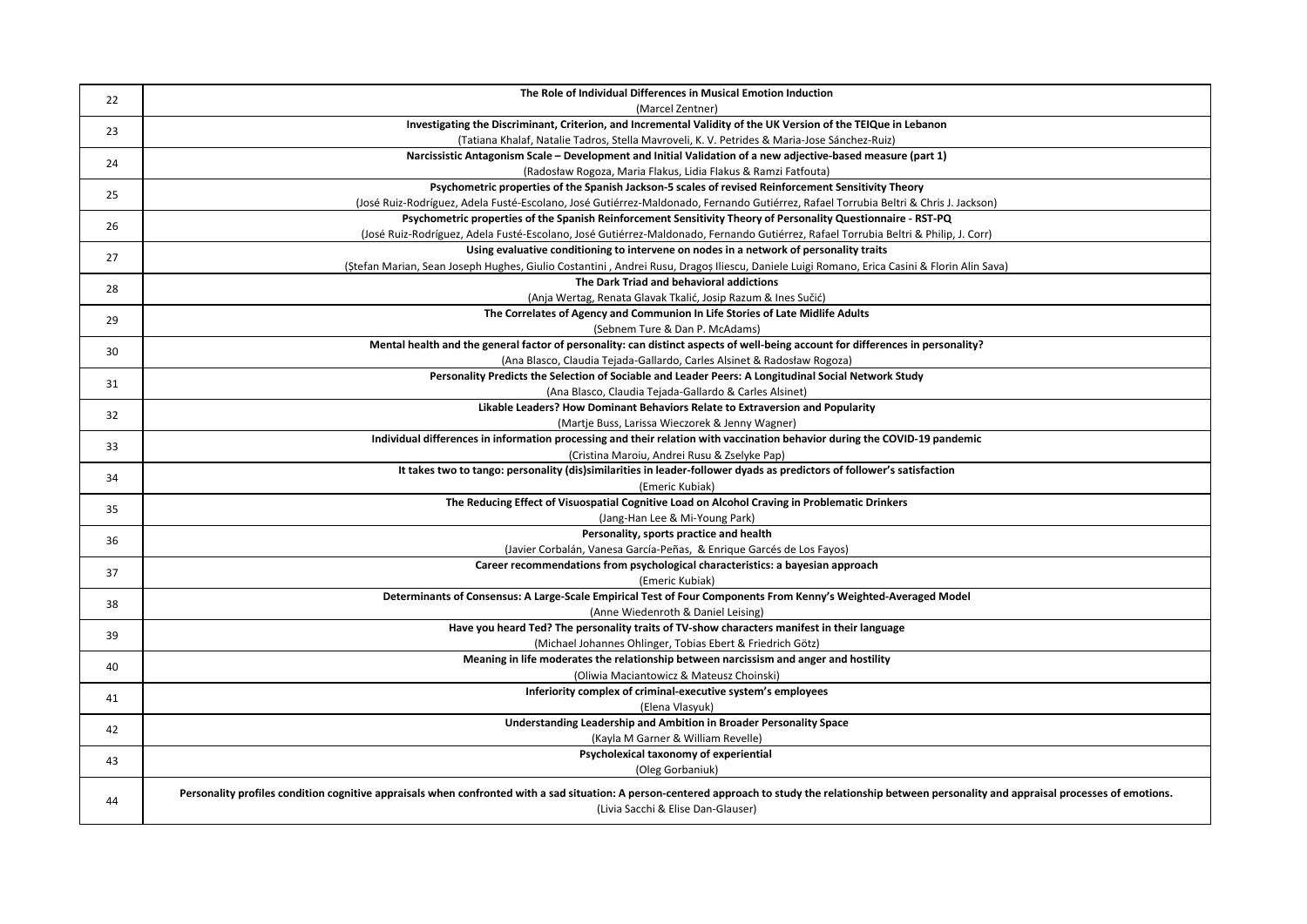| 22 | The Role of Individual Differences in Musical Emotion Induction                                                                                                                                         |
|----|---------------------------------------------------------------------------------------------------------------------------------------------------------------------------------------------------------|
|    | (Marcel Zentner)                                                                                                                                                                                        |
| 23 | Investigating the Discriminant, Criterion, and Incremental Validity of the UK Version of the TEIQue in Lebanon                                                                                          |
|    | (Tatiana Khalaf, Natalie Tadros, Stella Mavroveli, K. V. Petrides & Maria-Jose Sánchez-Ruiz)                                                                                                            |
| 24 | Narcissistic Antagonism Scale - Development and Initial Validation of a new adjective-based measure (part 1)                                                                                            |
|    | (Radosław Rogoza, Maria Flakus, Lidia Flakus & Ramzi Fatfouta)                                                                                                                                          |
| 25 | Psychometric properties of the Spanish Jackson-5 scales of revised Reinforcement Sensitivity Theory                                                                                                     |
|    | (José Ruiz-Rodríguez, Adela Fusté-Escolano, José Gutiérrez-Maldonado, Fernando Gutiérrez, Rafael Torrubia Beltri & Chris J. Jackson)                                                                    |
| 26 | Psychometric properties of the Spanish Reinforcement Sensitivity Theory of Personality Questionnaire - RST-PQ                                                                                           |
|    | (José Ruiz-Rodríguez, Adela Fusté-Escolano, José Gutiérrez-Maldonado, Fernando Gutiérrez, Rafael Torrubia Beltri & Philip, J. Corr)                                                                     |
| 27 | Using evaluative conditioning to intervene on nodes in a network of personality traits                                                                                                                  |
|    | (Ștefan Marian, Sean Joseph Hughes, Giulio Costantini, Andrei Rusu, Dragoș Iliescu, Daniele Luigi Romano, Erica Casini & Florin Alin Sava)                                                              |
| 28 | The Dark Triad and behavioral addictions                                                                                                                                                                |
|    | (Anja Wertag, Renata Glavak Tkalić, Josip Razum & Ines Sučić)                                                                                                                                           |
| 29 | The Correlates of Agency and Communion In Life Stories of Late Midlife Adults                                                                                                                           |
|    | (Sebnem Ture & Dan P. McAdams)                                                                                                                                                                          |
| 30 | Mental health and the general factor of personality: can distinct aspects of well-being account for differences in personality?                                                                         |
|    | (Ana Blasco, Claudia Tejada-Gallardo, Carles Alsinet & Radosław Rogoza)                                                                                                                                 |
| 31 | Personality Predicts the Selection of Sociable and Leader Peers: A Longitudinal Social Network Study                                                                                                    |
|    | (Ana Blasco, Claudia Tejada-Gallardo & Carles Alsinet)                                                                                                                                                  |
| 32 | Likable Leaders? How Dominant Behaviors Relate to Extraversion and Popularity                                                                                                                           |
|    | (Martje Buss, Larissa Wieczorek & Jenny Wagner)                                                                                                                                                         |
| 33 | Individual differences in information processing and their relation with vaccination behavior during the COVID-19 pandemic                                                                              |
|    | (Cristina Maroiu, Andrei Rusu & Zselyke Pap)                                                                                                                                                            |
| 34 | It takes two to tango: personality (dis)similarities in leader-follower dyads as predictors of follower's satisfaction                                                                                  |
|    | (Emeric Kubiak)<br>The Reducing Effect of Visuospatial Cognitive Load on Alcohol Craving in Problematic Drinkers                                                                                        |
| 35 | (Jang-Han Lee & Mi-Young Park)                                                                                                                                                                          |
|    | Personality, sports practice and health                                                                                                                                                                 |
| 36 | (Javier Corbalán, Vanesa García-Peñas, & Enrique Garcés de Los Fayos)                                                                                                                                   |
|    | Career recommendations from psychological characteristics: a bayesian approach                                                                                                                          |
| 37 | (Emeric Kubiak)                                                                                                                                                                                         |
|    | Determinants of Consensus: A Large-Scale Empirical Test of Four Components From Kenny's Weighted-Averaged Model                                                                                         |
| 38 | (Anne Wiedenroth & Daniel Leising)                                                                                                                                                                      |
|    | Have you heard Ted? The personality traits of TV-show characters manifest in their language                                                                                                             |
| 39 | (Michael Johannes Ohlinger, Tobias Ebert & Friedrich Götz)                                                                                                                                              |
|    | Meaning in life moderates the relationship between narcissism and anger and hostility                                                                                                                   |
| 40 | (Oliwia Maciantowicz & Mateusz Choinski)                                                                                                                                                                |
|    | Inferiority complex of criminal-executive system's employees                                                                                                                                            |
| 41 | (Elena Vlasyuk)                                                                                                                                                                                         |
| 42 | Understanding Leadership and Ambition in Broader Personality Space                                                                                                                                      |
|    | (Kayla M Garner & William Revelle)                                                                                                                                                                      |
| 43 | Psycholexical taxonomy of experiential                                                                                                                                                                  |
|    | (Oleg Gorbaniuk)                                                                                                                                                                                        |
|    | Personality profiles condition cognitive appraisals when confronted with a sad situation: A person-centered approach to study the relationship between personality and appraisal processes of emotions. |
| 44 | (Livia Sacchi & Elise Dan-Glauser)                                                                                                                                                                      |
|    |                                                                                                                                                                                                         |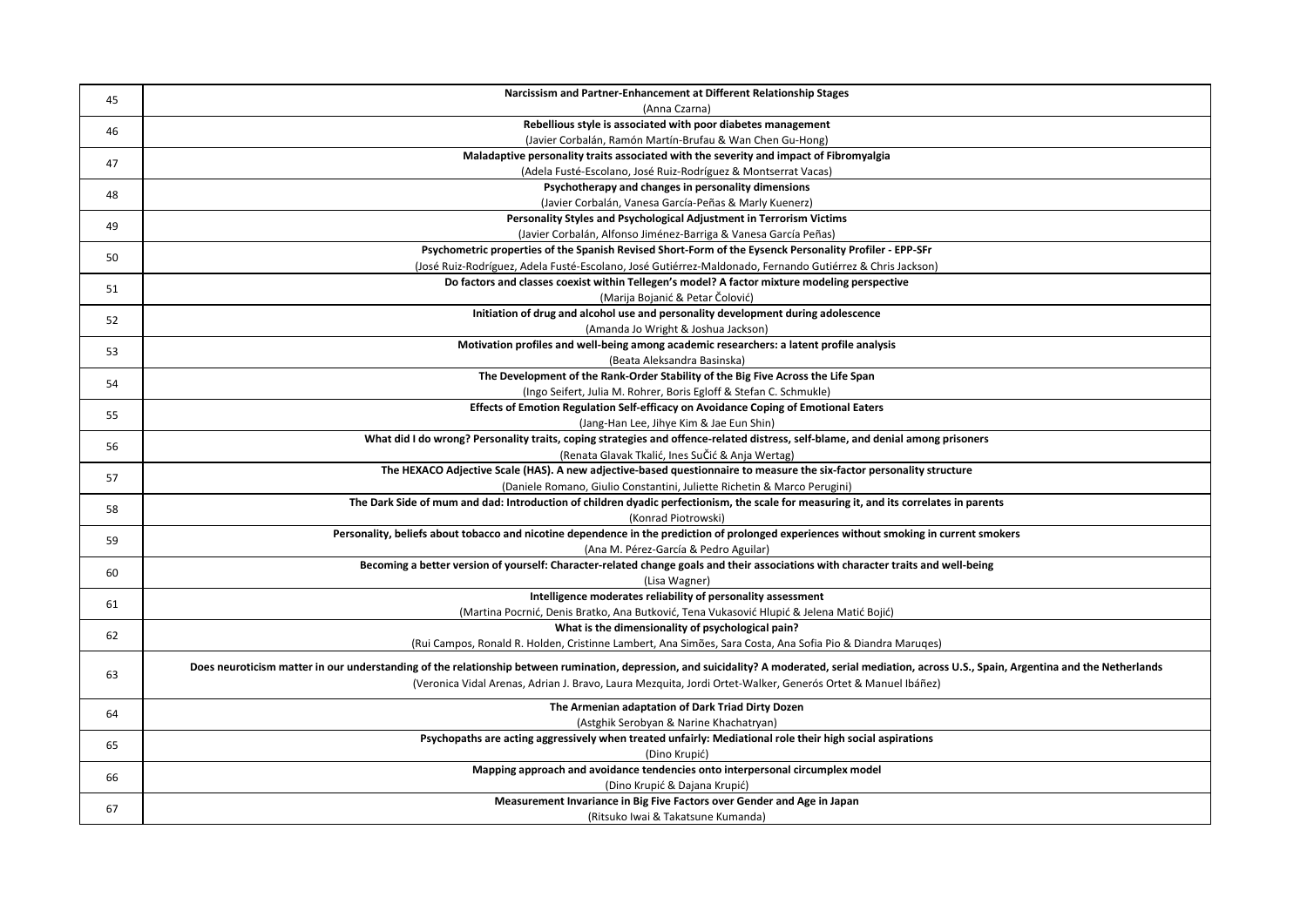| 45 | Narcissism and Partner-Enhancement at Different Relationship Stages                                                                                                                                        |
|----|------------------------------------------------------------------------------------------------------------------------------------------------------------------------------------------------------------|
|    | (Anna Czarna)                                                                                                                                                                                              |
| 46 | Rebellious style is associated with poor diabetes management                                                                                                                                               |
|    | (Javier Corbalán, Ramón Martín-Brufau & Wan Chen Gu-Hong)                                                                                                                                                  |
| 47 | Maladaptive personality traits associated with the severity and impact of Fibromyalgia                                                                                                                     |
|    | (Adela Fusté-Escolano, José Ruiz-Rodríguez & Montserrat Vacas)                                                                                                                                             |
| 48 | Psychotherapy and changes in personality dimensions                                                                                                                                                        |
|    | (Javier Corbalán, Vanesa García-Peñas & Marly Kuenerz)                                                                                                                                                     |
| 49 | Personality Styles and Psychological Adjustment in Terrorism Victims                                                                                                                                       |
|    | (Javier Corbalán, Alfonso Jiménez-Barriga & Vanesa García Peñas)                                                                                                                                           |
| 50 | Psychometric properties of the Spanish Revised Short-Form of the Eysenck Personality Profiler - EPP-SFr                                                                                                    |
|    | (José Ruiz-Rodríguez, Adela Fusté-Escolano, José Gutiérrez-Maldonado, Fernando Gutiérrez & Chris Jackson)<br>Do factors and classes coexist within Tellegen's model? A factor mixture modeling perspective |
| 51 | (Marija Bojanić & Petar Čolović)                                                                                                                                                                           |
|    | Initiation of drug and alcohol use and personality development during adolescence                                                                                                                          |
| 52 | (Amanda Jo Wright & Joshua Jackson)                                                                                                                                                                        |
|    | Motivation profiles and well-being among academic researchers: a latent profile analysis                                                                                                                   |
| 53 | (Beata Aleksandra Basinska)                                                                                                                                                                                |
|    | The Development of the Rank-Order Stability of the Big Five Across the Life Span                                                                                                                           |
| 54 | (Ingo Seifert, Julia M. Rohrer, Boris Egloff & Stefan C. Schmukle)                                                                                                                                         |
|    | Effects of Emotion Regulation Self-efficacy on Avoidance Coping of Emotional Eaters                                                                                                                        |
| 55 | (Jang-Han Lee, Jihye Kim & Jae Eun Shin)                                                                                                                                                                   |
|    | What did I do wrong? Personality traits, coping strategies and offence-related distress, self-blame, and denial among prisoners                                                                            |
| 56 | (Renata Glavak Tkalić, Ines SuČić & Anja Wertag)                                                                                                                                                           |
| 57 | The HEXACO Adjective Scale (HAS). A new adjective-based questionnaire to measure the six-factor personality structure                                                                                      |
|    | (Daniele Romano, Giulio Constantini, Juliette Richetin & Marco Perugini)                                                                                                                                   |
| 58 | The Dark Side of mum and dad: Introduction of children dyadic perfectionism, the scale for measuring it, and its correlates in parents                                                                     |
|    | (Konrad Piotrowski)                                                                                                                                                                                        |
| 59 | Personality, beliefs about tobacco and nicotine dependence in the prediction of prolonged experiences without smoking in current smokers                                                                   |
|    | (Ana M. Pérez-García & Pedro Aguilar)                                                                                                                                                                      |
| 60 | Becoming a better version of yourself: Character-related change goals and their associations with character traits and well-being                                                                          |
|    | (Lisa Wagner)                                                                                                                                                                                              |
| 61 | Intelligence moderates reliability of personality assessment                                                                                                                                               |
|    | (Martina Pocrnić, Denis Bratko, Ana Butković, Tena Vukasović Hlupić & Jelena Matić Bojić)                                                                                                                  |
| 62 | What is the dimensionality of psychological pain?                                                                                                                                                          |
|    | (Rui Campos, Ronald R. Holden, Cristinne Lambert, Ana Simões, Sara Costa, Ana Sofia Pio & Diandra Maruqes)                                                                                                 |
|    | Does neuroticism matter in our understanding of the relationship between rumination, depression, and suicidality? A moderated, serial mediation, across U.S., Spain, Argentina and the Netherlands         |
| 63 | (Veronica Vidal Arenas, Adrian J. Bravo, Laura Mezquita, Jordi Ortet-Walker, Generós Ortet & Manuel Ibáñez)                                                                                                |
|    | The Armenian adaptation of Dark Triad Dirty Dozen                                                                                                                                                          |
| 64 |                                                                                                                                                                                                            |
|    | (Astghik Serobyan & Narine Khachatryan)<br>Psychopaths are acting aggressively when treated unfairly: Mediational role their high social aspirations                                                       |
| 65 | (Dino Krupić)                                                                                                                                                                                              |
|    | Mapping approach and avoidance tendencies onto interpersonal circumplex model                                                                                                                              |
| 66 | (Dino Krupić & Dajana Krupić)                                                                                                                                                                              |
|    | Measurement Invariance in Big Five Factors over Gender and Age in Japan                                                                                                                                    |
| 67 | (Ritsuko Iwai & Takatsune Kumanda)                                                                                                                                                                         |
|    |                                                                                                                                                                                                            |